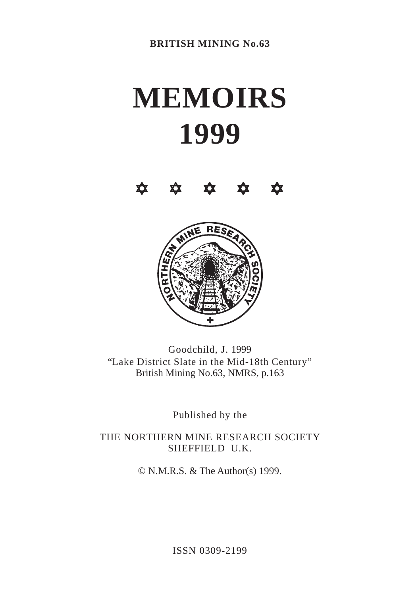## **MEMOIRS 1999**





Goodchild, J. 1999 "Lake District Slate in the Mid-18th Century" British Mining No.63, NMRS, p.163

Published by the

THE NORTHERN MINE RESEARCH SOCIETY SHEFFIELD U.K.

© N.M.R.S. & The Author(s) 1999.

ISSN 0309-2199